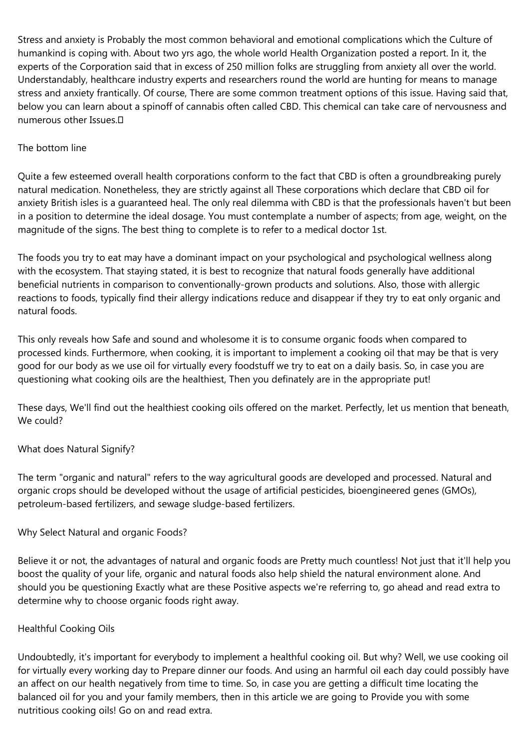Stress and anxiety is Probably the most common behavioral and emotional complications which the Culture of humankind is coping with. About two yrs ago, the whole world Health Organization posted a report. In it, the experts of the Corporation said that in excess of 250 million folks are struggling from anxiety all over the world. Understandably, healthcare industry experts and researchers round the world are hunting for means to manage stress and anxiety frantically. Of course, There are some common treatment options of this issue. Having said that, below you can learn about a spinoff of cannabis often called CBD. This chemical can take care of nervousness and numerous other Issues.

### The bottom line

Quite a few esteemed overall health corporations conform to the fact that CBD is often a groundbreaking purely natural medication. Nonetheless, they are strictly against all These corporations which declare that CBD oil for anxiety British isles is a guaranteed heal. The only real dilemma with CBD is that the professionals haven't but been in a position to determine the ideal dosage. You must contemplate a number of aspects; from age, weight, on the magnitude of the signs. The best thing to complete is to refer to a medical doctor 1st.

The foods you try to eat may have a dominant impact on your psychological and psychological wellness along with the ecosystem. That staying stated, it is best to recognize that natural foods generally have additional beneficial nutrients in comparison to conventionally-grown products and solutions. Also, those with allergic reactions to foods, typically find their allergy indications reduce and disappear if they try to eat only organic and natural foods.

This only reveals how Safe and sound and wholesome it is to consume organic foods when compared to processed kinds. Furthermore, when cooking, it is important to implement a cooking oil that may be that is very good for our body as we use oil for virtually every foodstuff we try to eat on a daily basis. So, in case you are questioning what cooking oils are the healthiest, Then you definately are in the appropriate put!

These days, We'll find out the healthiest cooking oils offered on the market. Perfectly, let us mention that beneath, We could?

# What does Natural Signify?

The term "organic and natural" refers to the way agricultural goods are developed and processed. Natural and organic crops should be developed without the usage of artificial pesticides, bioengineered genes (GMOs), petroleum-based fertilizers, and sewage sludge-based fertilizers.

# Why Select Natural and organic Foods?

Believe it or not, the advantages of natural and organic foods are Pretty much countless! Not just that it'll help you boost the quality of your life, organic and natural foods also help shield the natural environment alone. And should you be questioning Exactly what are these Positive aspects we're referring to, go ahead and read extra to determine why to choose organic foods right away.

# Healthful Cooking Oils

Undoubtedly, it's important for everybody to implement a healthful cooking oil. But why? Well, we use cooking oil for virtually every working day to Prepare dinner our foods. And using an harmful oil each day could possibly have an affect on our health negatively from time to time. So, in case you are getting a difficult time locating the balanced oil for you and your family members, then in this article we are going to Provide you with some nutritious cooking oils! Go on and read extra.